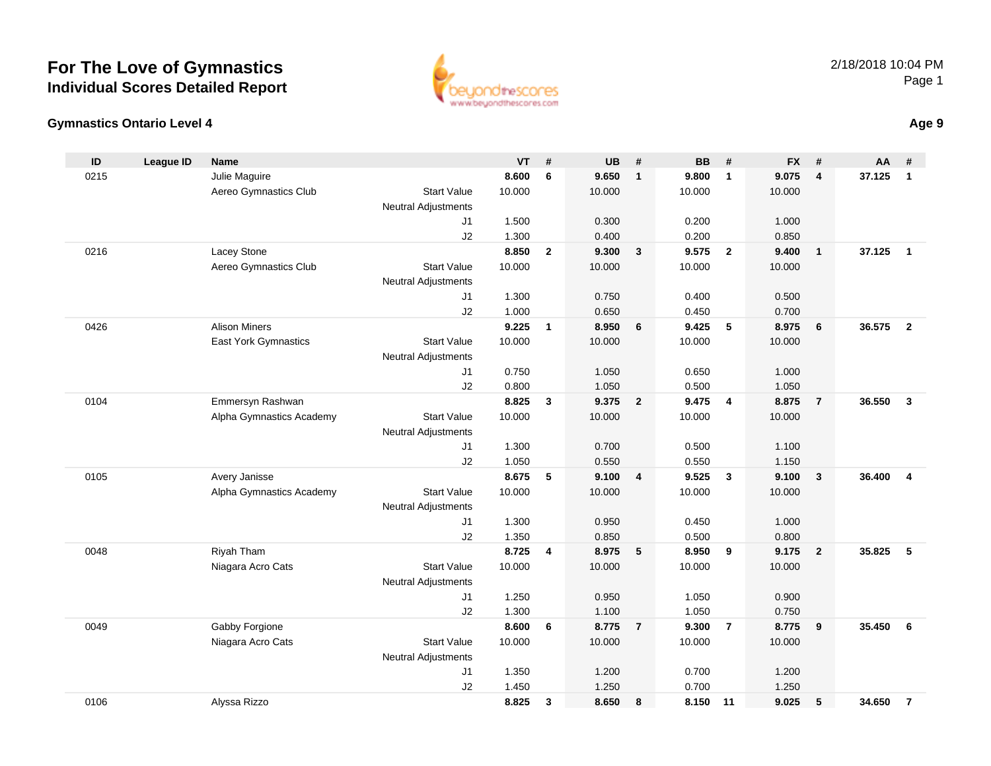

#### **Gymnastics Ontario Level 4**

| ID   | <b>League ID</b> | <b>Name</b>                 |                            | <b>VT</b> | #            | <b>UB</b> | #                       | <b>BB</b> | #                       | <b>FX</b> | #                       | AA     | #              |
|------|------------------|-----------------------------|----------------------------|-----------|--------------|-----------|-------------------------|-----------|-------------------------|-----------|-------------------------|--------|----------------|
| 0215 |                  | Julie Maguire               |                            | 8.600     | 6            | 9.650     | $\overline{1}$          | 9.800     | $\mathbf{1}$            | 9.075     | $\overline{\mathbf{4}}$ | 37.125 | $\mathbf{1}$   |
|      |                  | Aereo Gymnastics Club       | <b>Start Value</b>         | 10.000    |              | 10.000    |                         | 10.000    |                         | 10.000    |                         |        |                |
|      |                  |                             | <b>Neutral Adjustments</b> |           |              |           |                         |           |                         |           |                         |        |                |
|      |                  |                             | J1                         | 1.500     |              | 0.300     |                         | 0.200     |                         | 1.000     |                         |        |                |
|      |                  |                             | J2                         | 1.300     |              | 0.400     |                         | 0.200     |                         | 0.850     |                         |        |                |
| 0216 |                  | Lacey Stone                 |                            | 8.850     | $\mathbf{2}$ | 9.300     | $\overline{\mathbf{3}}$ | 9.575     | $\overline{\mathbf{2}}$ | 9.400     | $\mathbf{1}$            | 37.125 | $\overline{1}$ |
|      |                  | Aereo Gymnastics Club       | <b>Start Value</b>         | 10.000    |              | 10.000    |                         | 10.000    |                         | 10.000    |                         |        |                |
|      |                  |                             | <b>Neutral Adjustments</b> |           |              |           |                         |           |                         |           |                         |        |                |
|      |                  |                             | J1                         | 1.300     |              | 0.750     |                         | 0.400     |                         | 0.500     |                         |        |                |
|      |                  |                             | J2                         | 1.000     |              | 0.650     |                         | 0.450     |                         | 0.700     |                         |        |                |
| 0426 |                  | <b>Alison Miners</b>        |                            | 9.225     | $\mathbf{1}$ | 8.950     | 6                       | 9.425     | $5\phantom{.0}$         | 8.975     | 6                       | 36.575 | $\overline{2}$ |
|      |                  | <b>East York Gymnastics</b> | <b>Start Value</b>         | 10.000    |              | 10.000    |                         | 10.000    |                         | 10.000    |                         |        |                |
|      |                  |                             | Neutral Adjustments        |           |              |           |                         |           |                         |           |                         |        |                |
|      |                  |                             | J1                         | 0.750     |              | 1.050     |                         | 0.650     |                         | 1.000     |                         |        |                |
|      |                  |                             | J2                         | 0.800     |              | 1.050     |                         | 0.500     |                         | 1.050     |                         |        |                |
| 0104 |                  | Emmersyn Rashwan            |                            | 8.825     | $\mathbf{3}$ | 9.375     | $\overline{\mathbf{2}}$ | 9.475     | $\overline{4}$          | 8.875     | $\overline{7}$          | 36.550 | $\mathbf{3}$   |
|      |                  | Alpha Gymnastics Academy    | <b>Start Value</b>         | 10.000    |              | 10.000    |                         | 10.000    |                         | 10.000    |                         |        |                |
|      |                  |                             | Neutral Adjustments        |           |              |           |                         |           |                         |           |                         |        |                |
|      |                  |                             | J1                         | 1.300     |              | 0.700     |                         | 0.500     |                         | 1.100     |                         |        |                |
|      |                  |                             | J2                         | 1.050     |              | 0.550     |                         | 0.550     |                         | 1.150     |                         |        |                |
| 0105 |                  | Avery Janisse               |                            | 8.675     | 5            | 9.100     | $\overline{4}$          | 9.525     | $\mathbf{3}$            | 9.100     | $\mathbf{3}$            | 36.400 | 4              |
|      |                  | Alpha Gymnastics Academy    | <b>Start Value</b>         | 10.000    |              | 10.000    |                         | 10.000    |                         | 10.000    |                         |        |                |
|      |                  |                             | <b>Neutral Adjustments</b> |           |              |           |                         |           |                         |           |                         |        |                |
|      |                  |                             | J1                         | 1.300     |              | 0.950     |                         | 0.450     |                         | 1.000     |                         |        |                |
|      |                  |                             | J2                         | 1.350     |              | 0.850     |                         | 0.500     |                         | 0.800     |                         |        |                |
| 0048 |                  | Riyah Tham                  |                            | 8.725     | 4            | 8.975     | 5                       | 8.950     | 9                       | 9.175     | $\overline{2}$          | 35.825 | 5              |
|      |                  | Niagara Acro Cats           | <b>Start Value</b>         | 10.000    |              | 10.000    |                         | 10.000    |                         | 10.000    |                         |        |                |
|      |                  |                             | Neutral Adjustments        |           |              |           |                         |           |                         |           |                         |        |                |
|      |                  |                             | J1                         | 1.250     |              | 0.950     |                         | 1.050     |                         | 0.900     |                         |        |                |
|      |                  |                             | J2                         | 1.300     |              | 1.100     |                         | 1.050     |                         | 0.750     |                         |        |                |
| 0049 |                  | Gabby Forgione              |                            | 8.600     | 6            | 8.775     | $\overline{7}$          | 9.300     | $\overline{7}$          | 8.775     | 9                       | 35.450 | 6              |
|      |                  | Niagara Acro Cats           | <b>Start Value</b>         | 10.000    |              | 10.000    |                         | 10.000    |                         | 10.000    |                         |        |                |
|      |                  |                             | Neutral Adjustments        |           |              |           |                         |           |                         |           |                         |        |                |
|      |                  |                             | J1                         | 1.350     |              | 1.200     |                         | 0.700     |                         | 1.200     |                         |        |                |
|      |                  |                             | J2                         | 1.450     |              | 1.250     |                         | 0.700     |                         | 1.250     |                         |        |                |
| 0106 |                  | Alyssa Rizzo                |                            | 8.825     | 3            | 8.650     | 8                       | 8.150     | 11                      | 9.025     | 5                       | 34.650 | $\overline{7}$ |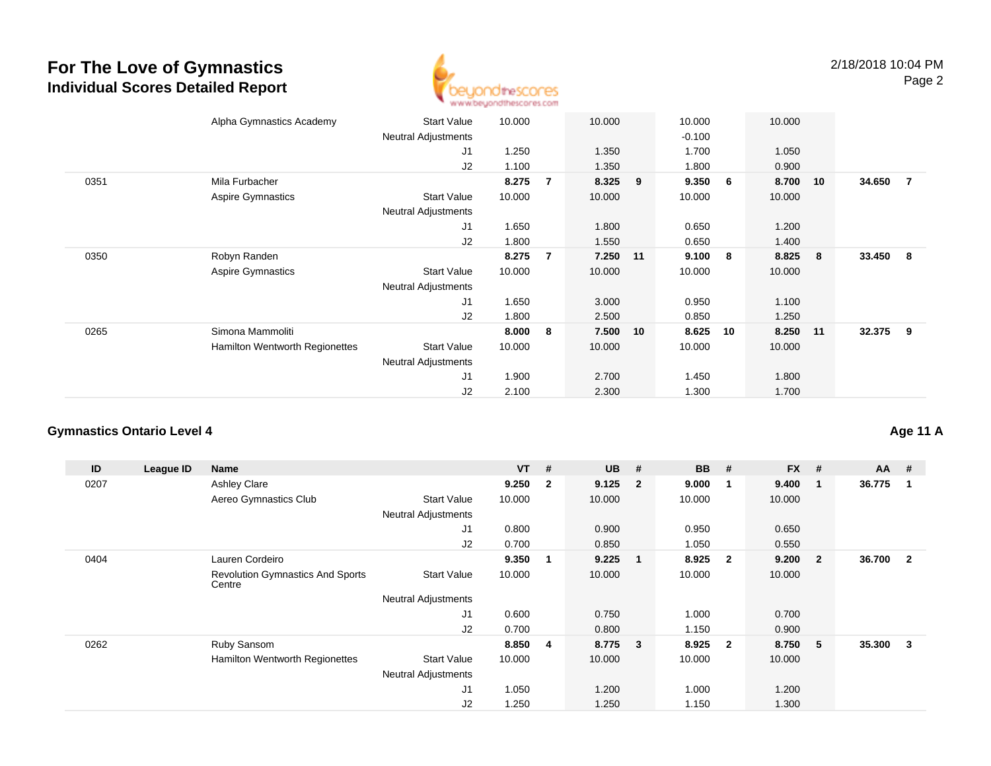

|      | Alpha Gymnastics Academy       | <b>Start Value</b>         | 10.000 |                | 10.000   |    | 10.000   |    | 10.000 |     |          |                |
|------|--------------------------------|----------------------------|--------|----------------|----------|----|----------|----|--------|-----|----------|----------------|
|      |                                |                            |        |                |          |    |          |    |        |     |          |                |
|      |                                | <b>Neutral Adjustments</b> |        |                |          |    | $-0.100$ |    |        |     |          |                |
|      |                                | J1                         | 1.250  |                | 1.350    |    | 1.700    |    | 1.050  |     |          |                |
|      |                                | J2                         | 1.100  |                | 1.350    |    | 1.800    |    | 0.900  |     |          |                |
| 0351 | Mila Furbacher                 |                            | 8.275  | 7              | 8.325    | 9  | 9.350    | 6  | 8.700  | 10  | 34.650   | $\overline{7}$ |
|      | Aspire Gymnastics              | <b>Start Value</b>         | 10.000 |                | 10.000   |    | 10.000   |    | 10.000 |     |          |                |
|      |                                | <b>Neutral Adjustments</b> |        |                |          |    |          |    |        |     |          |                |
|      |                                | J1                         | 1.650  |                | 1.800    |    | 0.650    |    | 1.200  |     |          |                |
|      |                                | J2                         | 1.800  |                | 1.550    |    | 0.650    |    | 1.400  |     |          |                |
| 0350 | Robyn Randen                   |                            | 8.275  | $\overline{7}$ | 7.250 11 |    | 9.100    | -8 | 8.825  | - 8 | 33.450 8 |                |
|      | <b>Aspire Gymnastics</b>       | <b>Start Value</b>         | 10.000 |                | 10.000   |    | 10.000   |    | 10.000 |     |          |                |
|      |                                | <b>Neutral Adjustments</b> |        |                |          |    |          |    |        |     |          |                |
|      |                                | J1                         | 1.650  |                | 3.000    |    | 0.950    |    | 1.100  |     |          |                |
|      |                                | J2                         | 1.800  |                | 2.500    |    | 0.850    |    | 1.250  |     |          |                |
| 0265 | Simona Mammoliti               |                            | 8.000  | 8              | 7.500    | 10 | 8.625    | 10 | 8.250  | 11  | 32.375   | - 9            |
|      | Hamilton Wentworth Regionettes | <b>Start Value</b>         | 10.000 |                | 10.000   |    | 10.000   |    | 10.000 |     |          |                |
|      |                                | <b>Neutral Adjustments</b> |        |                |          |    |          |    |        |     |          |                |
|      |                                | J1                         | 1.900  |                | 2.700    |    | 1.450    |    | 1.800  |     |          |                |
|      |                                | J2                         | 2.100  |                | 2.300    |    | 1.300    |    | 1.700  |     |          |                |
|      |                                |                            |        |                |          |    |          |    |        |     |          |                |

#### **Gymnastics Ontario Level 4**

| ID   | League ID | Name                                              |                            | $VT$ # |                         | <b>UB</b> | #                       | <b>BB</b> | #              | $FX$ # |                | $AA$ # |                |
|------|-----------|---------------------------------------------------|----------------------------|--------|-------------------------|-----------|-------------------------|-----------|----------------|--------|----------------|--------|----------------|
| 0207 |           | <b>Ashley Clare</b>                               |                            | 9.250  | $\overline{\mathbf{2}}$ | 9.125     | $\overline{\mathbf{2}}$ | 9.000     | -1             | 9.400  | $\mathbf{1}$   | 36.775 |                |
|      |           | Aereo Gymnastics Club                             | <b>Start Value</b>         | 10.000 |                         | 10.000    |                         | 10.000    |                | 10.000 |                |        |                |
|      |           |                                                   | <b>Neutral Adjustments</b> |        |                         |           |                         |           |                |        |                |        |                |
|      |           |                                                   | J1                         | 0.800  |                         | 0.900     |                         | 0.950     |                | 0.650  |                |        |                |
|      |           |                                                   | J <sub>2</sub>             | 0.700  |                         | 0.850     |                         | 1.050     |                | 0.550  |                |        |                |
| 0404 |           | Lauren Cordeiro                                   |                            | 9.350  | -1                      | 9.225     | $\overline{\mathbf{1}}$ | 8.925     | $\overline{2}$ | 9.200  | $\overline{2}$ | 36.700 | $\overline{2}$ |
|      |           | <b>Revolution Gymnastics And Sports</b><br>Centre | <b>Start Value</b>         | 10.000 |                         | 10.000    |                         | 10.000    |                | 10.000 |                |        |                |
|      |           |                                                   | Neutral Adjustments        |        |                         |           |                         |           |                |        |                |        |                |
|      |           |                                                   | J1                         | 0.600  |                         | 0.750     |                         | 1.000     |                | 0.700  |                |        |                |
|      |           |                                                   | J <sub>2</sub>             | 0.700  |                         | 0.800     |                         | 1.150     |                | 0.900  |                |        |                |
| 0262 |           | Ruby Sansom                                       |                            | 8.850  | $\overline{\mathbf{4}}$ | 8.775     | $\overline{\mathbf{3}}$ | 8.925     | $\overline{2}$ | 8.750  | 5              | 35.300 | 3              |
|      |           | Hamilton Wentworth Regionettes                    | <b>Start Value</b>         | 10.000 |                         | 10.000    |                         | 10.000    |                | 10.000 |                |        |                |
|      |           |                                                   | <b>Neutral Adjustments</b> |        |                         |           |                         |           |                |        |                |        |                |
|      |           |                                                   | J1                         | 1.050  |                         | 1.200     |                         | 1.000     |                | 1.200  |                |        |                |
|      |           |                                                   | J <sub>2</sub>             | 1.250  |                         | 1.250     |                         | 1.150     |                | 1.300  |                |        |                |

#### **Age 11 A**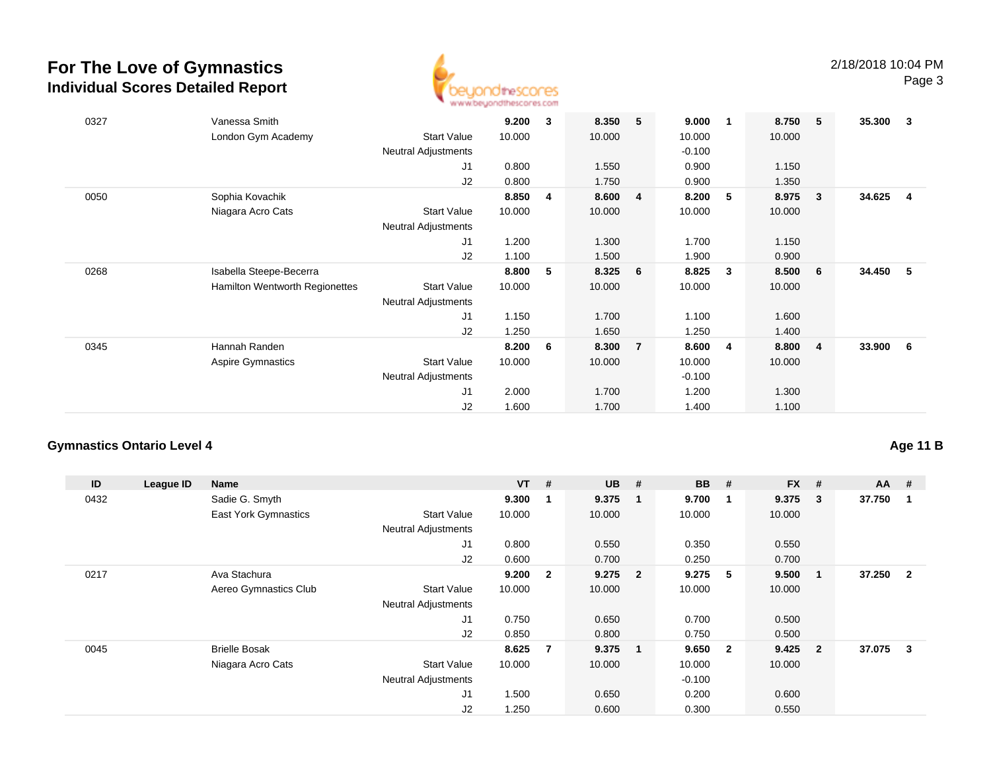

| 0327 | Vanessa Smith                                        | 9.200  | 3 | 8.350  | 5<br>9.000              | $\mathbf 1$ | 8.750  | 5                       | 35.300 | 3   |
|------|------------------------------------------------------|--------|---|--------|-------------------------|-------------|--------|-------------------------|--------|-----|
|      | London Gym Academy<br><b>Start Value</b>             | 10.000 |   | 10.000 | 10.000                  |             | 10.000 |                         |        |     |
|      | Neutral Adjustments                                  |        |   |        | $-0.100$                |             |        |                         |        |     |
|      | J1                                                   | 0.800  |   | 1.550  | 0.900                   |             | 1.150  |                         |        |     |
|      | J2                                                   | 0.800  |   | 1.750  | 0.900                   |             | 1.350  |                         |        |     |
| 0050 | Sophia Kovachik                                      | 8.850  | 4 | 8.600  | 8.200<br>4              | 5           | 8.975  | $\overline{\mathbf{3}}$ | 34.625 | -4  |
|      | Niagara Acro Cats<br><b>Start Value</b>              | 10.000 |   | 10.000 | 10.000                  |             | 10.000 |                         |        |     |
|      | Neutral Adjustments                                  |        |   |        |                         |             |        |                         |        |     |
|      | J1                                                   | 1.200  |   | 1.300  | 1.700                   |             | 1.150  |                         |        |     |
|      | J2                                                   | 1.100  |   | 1.500  | 1.900                   |             | 0.900  |                         |        |     |
| 0268 | Isabella Steepe-Becerra                              | 8.800  | 5 | 8.325  | 8.825<br>-6             | 3           | 8.500  | - 6                     | 34.450 | - 5 |
|      | Hamilton Wentworth Regionettes<br><b>Start Value</b> | 10.000 |   | 10.000 | 10.000                  |             | 10.000 |                         |        |     |
|      | <b>Neutral Adjustments</b>                           |        |   |        |                         |             |        |                         |        |     |
|      | J1                                                   | 1.150  |   | 1.700  | 1.100                   |             | 1.600  |                         |        |     |
|      | J2                                                   | 1.250  |   | 1.650  | 1.250                   |             | 1.400  |                         |        |     |
| 0345 | Hannah Randen                                        | 8.200  | 6 | 8.300  | $\overline{7}$<br>8.600 | 4           | 8.800  | $\overline{4}$          | 33.900 | - 6 |
|      | Aspire Gymnastics<br><b>Start Value</b>              | 10.000 |   | 10.000 | 10.000                  |             | 10.000 |                         |        |     |
|      | <b>Neutral Adjustments</b>                           |        |   |        | $-0.100$                |             |        |                         |        |     |
|      | J <sub>1</sub>                                       | 2.000  |   | 1.700  | 1.200                   |             | 1.300  |                         |        |     |
|      | J2                                                   | 1.600  |   | 1.700  | 1.400                   |             | 1.100  |                         |        |     |
|      |                                                      |        |   |        |                         |             |        |                         |        |     |

#### **Gymnastics Ontario Level 4**

**Age 11 B**

| ID   | League ID | Name                  |                            | $VT$ # |              | <b>UB</b> | #                       | <b>BB</b> | #                       | $FX$ # |                | $AA$ # |                |
|------|-----------|-----------------------|----------------------------|--------|--------------|-----------|-------------------------|-----------|-------------------------|--------|----------------|--------|----------------|
| 0432 |           | Sadie G. Smyth        |                            | 9.300  | - 1          | 9.375     | - 1                     | 9.700     | -1                      | 9.375  | 3              | 37.750 |                |
|      |           | East York Gymnastics  | <b>Start Value</b>         | 10.000 |              | 10.000    |                         | 10.000    |                         | 10.000 |                |        |                |
|      |           |                       | <b>Neutral Adjustments</b> |        |              |           |                         |           |                         |        |                |        |                |
|      |           |                       | J1                         | 0.800  |              | 0.550     |                         | 0.350     |                         | 0.550  |                |        |                |
|      |           |                       | J2                         | 0.600  |              | 0.700     |                         | 0.250     |                         | 0.700  |                |        |                |
| 0217 |           | Ava Stachura          |                            | 9.200  | $\mathbf{2}$ | 9.275     | $\overline{\mathbf{2}}$ | 9.275     | -5                      | 9.500  | 1              | 37.250 | $\overline{2}$ |
|      |           | Aereo Gymnastics Club | <b>Start Value</b>         | 10.000 |              | 10.000    |                         | 10.000    |                         | 10.000 |                |        |                |
|      |           |                       | <b>Neutral Adjustments</b> |        |              |           |                         |           |                         |        |                |        |                |
|      |           |                       | J1                         | 0.750  |              | 0.650     |                         | 0.700     |                         | 0.500  |                |        |                |
|      |           |                       | J2                         | 0.850  |              | 0.800     |                         | 0.750     |                         | 0.500  |                |        |                |
| 0045 |           | <b>Brielle Bosak</b>  |                            | 8.625  | 7            | 9.375     | $\blacksquare$          | 9.650     | $\overline{\mathbf{2}}$ | 9.425  | $\overline{2}$ | 37.075 | 3              |
|      |           | Niagara Acro Cats     | <b>Start Value</b>         | 10.000 |              | 10.000    |                         | 10.000    |                         | 10.000 |                |        |                |
|      |           |                       | <b>Neutral Adjustments</b> |        |              |           |                         | $-0.100$  |                         |        |                |        |                |
|      |           |                       | J1                         | 1.500  |              | 0.650     |                         | 0.200     |                         | 0.600  |                |        |                |
|      |           |                       | J2                         | 1.250  |              | 0.600     |                         | 0.300     |                         | 0.550  |                |        |                |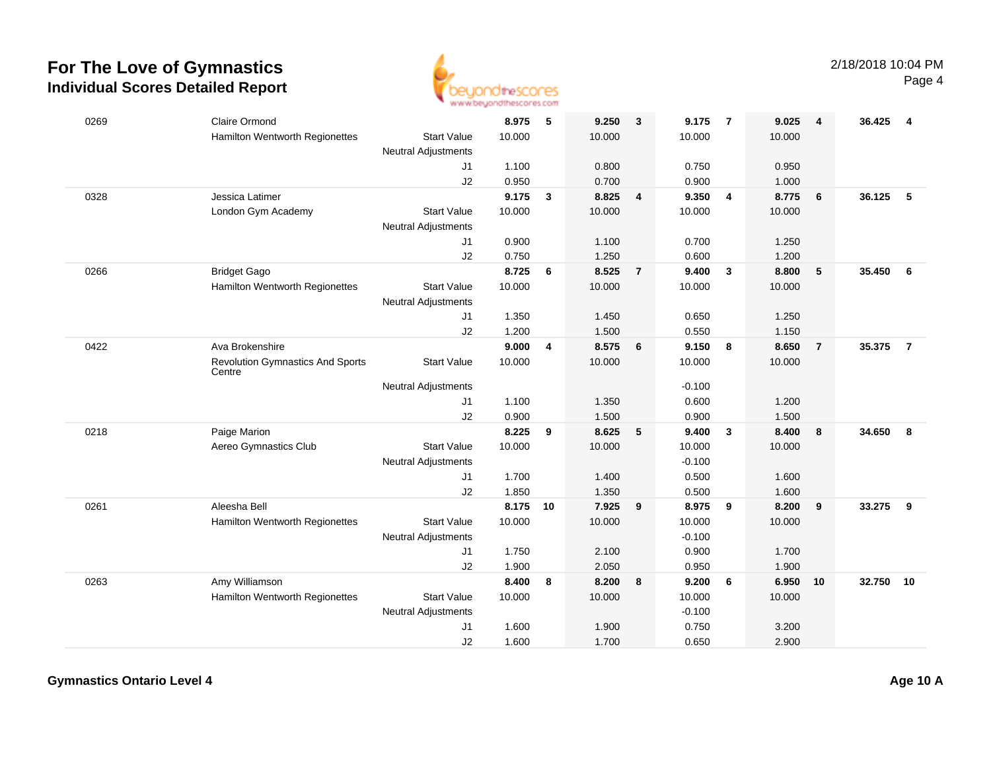

| 0269 | <b>Claire Ormond</b>                              |                            | 8.975  | 5                       | 9.250  | $\overline{\mathbf{3}}$ | 9.175    | $\overline{7}$          | 9.025  | $\overline{4}$  | 36.425 | 4              |
|------|---------------------------------------------------|----------------------------|--------|-------------------------|--------|-------------------------|----------|-------------------------|--------|-----------------|--------|----------------|
|      | Hamilton Wentworth Regionettes                    | <b>Start Value</b>         | 10.000 |                         | 10.000 |                         | 10.000   |                         | 10.000 |                 |        |                |
|      |                                                   | Neutral Adjustments        |        |                         |        |                         |          |                         |        |                 |        |                |
|      |                                                   | J1                         | 1.100  |                         | 0.800  |                         | 0.750    |                         | 0.950  |                 |        |                |
|      |                                                   | J2                         | 0.950  |                         | 0.700  |                         | 0.900    |                         | 1.000  |                 |        |                |
| 0328 | Jessica Latimer                                   |                            | 9.175  | $\mathbf{3}$            | 8.825  | $\overline{4}$          | 9.350    | $\overline{4}$          | 8.775  | 6               | 36.125 | 5              |
|      | London Gym Academy                                | <b>Start Value</b>         | 10.000 |                         | 10.000 |                         | 10.000   |                         | 10.000 |                 |        |                |
|      |                                                   | <b>Neutral Adjustments</b> |        |                         |        |                         |          |                         |        |                 |        |                |
|      |                                                   | J1                         | 0.900  |                         | 1.100  |                         | 0.700    |                         | 1.250  |                 |        |                |
|      |                                                   | J2                         | 0.750  |                         | 1.250  |                         | 0.600    |                         | 1.200  |                 |        |                |
| 0266 | <b>Bridget Gago</b>                               |                            | 8.725  | 6                       | 8.525  | $\overline{7}$          | 9.400    | $\mathbf{3}$            | 8.800  | $5\phantom{.0}$ | 35.450 | 6              |
|      | Hamilton Wentworth Regionettes                    | <b>Start Value</b>         | 10.000 |                         | 10.000 |                         | 10.000   |                         | 10.000 |                 |        |                |
|      |                                                   | <b>Neutral Adjustments</b> |        |                         |        |                         |          |                         |        |                 |        |                |
|      |                                                   | J1                         | 1.350  |                         | 1.450  |                         | 0.650    |                         | 1.250  |                 |        |                |
|      |                                                   | J2                         | 1.200  |                         | 1.500  |                         | 0.550    |                         | 1.150  |                 |        |                |
| 0422 | Ava Brokenshire                                   |                            | 9.000  | $\overline{\mathbf{4}}$ | 8.575  | 6                       | 9.150    | $\overline{\mathbf{8}}$ | 8.650  | $\overline{7}$  | 35.375 | $\overline{7}$ |
|      | <b>Revolution Gymnastics And Sports</b><br>Centre | <b>Start Value</b>         | 10.000 |                         | 10.000 |                         | 10.000   |                         | 10.000 |                 |        |                |
|      |                                                   | <b>Neutral Adjustments</b> |        |                         |        |                         | $-0.100$ |                         |        |                 |        |                |
|      |                                                   | J1                         | 1.100  |                         | 1.350  |                         | 0.600    |                         | 1.200  |                 |        |                |
|      |                                                   | J2                         | 0.900  |                         | 1.500  |                         | 0.900    |                         | 1.500  |                 |        |                |
| 0218 | Paige Marion                                      |                            | 8.225  | 9                       | 8.625  | $5\phantom{.0}$         | 9.400    | $\overline{\mathbf{3}}$ | 8.400  | 8               | 34.650 | 8              |
|      | Aereo Gymnastics Club                             | <b>Start Value</b>         | 10.000 |                         | 10.000 |                         | 10.000   |                         | 10.000 |                 |        |                |
|      |                                                   | <b>Neutral Adjustments</b> |        |                         |        |                         | $-0.100$ |                         |        |                 |        |                |
|      |                                                   | J1                         | 1.700  |                         | 1.400  |                         | 0.500    |                         | 1.600  |                 |        |                |
|      |                                                   | J2                         | 1.850  |                         | 1.350  |                         | 0.500    |                         | 1.600  |                 |        |                |
| 0261 | Aleesha Bell                                      |                            | 8.175  | 10                      | 7.925  | 9                       | 8.975    | 9                       | 8.200  | 9               | 33.275 | 9              |
|      | Hamilton Wentworth Regionettes                    | <b>Start Value</b>         | 10.000 |                         | 10.000 |                         | 10.000   |                         | 10.000 |                 |        |                |
|      |                                                   | Neutral Adjustments        |        |                         |        |                         | $-0.100$ |                         |        |                 |        |                |
|      |                                                   | J1                         | 1.750  |                         | 2.100  |                         | 0.900    |                         | 1.700  |                 |        |                |
|      |                                                   | J2                         | 1.900  |                         | 2.050  |                         | 0.950    |                         | 1.900  |                 |        |                |
| 0263 | Amy Williamson                                    |                            | 8.400  | 8                       | 8.200  | 8                       | 9.200    | 6                       | 6.950  | 10              | 32.750 | 10             |
|      | Hamilton Wentworth Regionettes                    | <b>Start Value</b>         | 10.000 |                         | 10.000 |                         | 10.000   |                         | 10.000 |                 |        |                |
|      |                                                   | Neutral Adjustments        |        |                         |        |                         | $-0.100$ |                         |        |                 |        |                |
|      |                                                   | J1                         | 1.600  |                         | 1.900  |                         | 0.750    |                         | 3.200  |                 |        |                |
|      |                                                   | J2                         | 1.600  |                         | 1.700  |                         | 0.650    |                         | 2.900  |                 |        |                |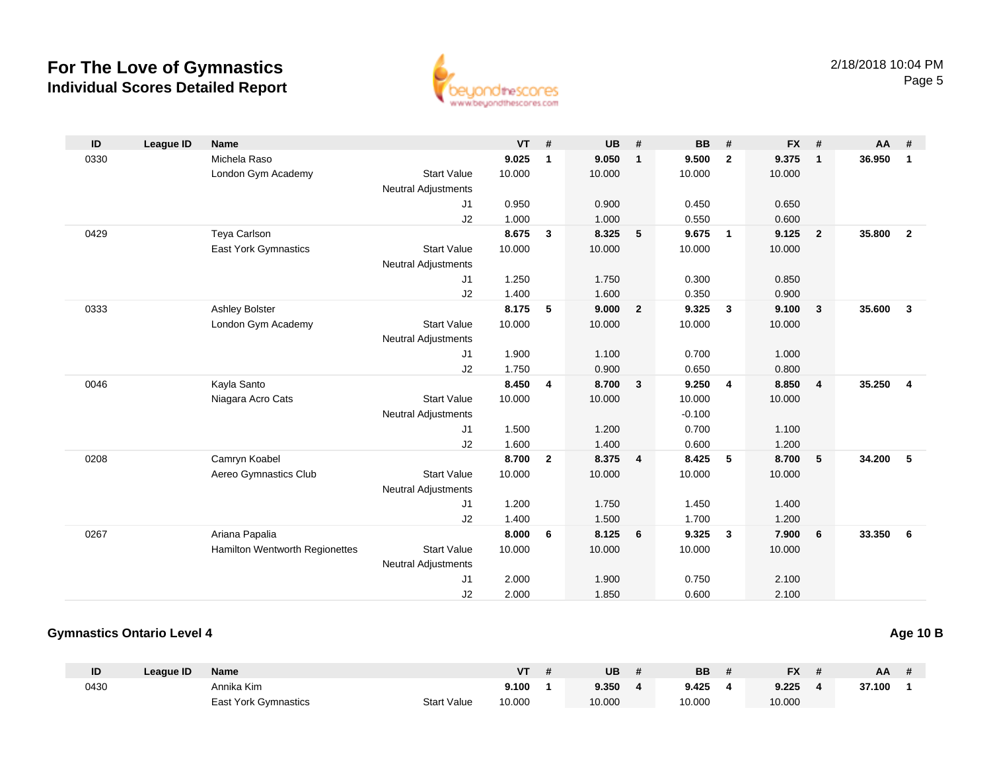

| ID   | <b>League ID</b> | <b>Name</b>                    |                            | <b>VT</b> | #            | <b>UB</b> | #              | <b>BB</b> | #            | <b>FX</b> | #              | AA     | #                       |
|------|------------------|--------------------------------|----------------------------|-----------|--------------|-----------|----------------|-----------|--------------|-----------|----------------|--------|-------------------------|
| 0330 |                  | Michela Raso                   |                            | 9.025     | $\mathbf{1}$ | 9.050     | $\mathbf{1}$   | 9.500     | $\mathbf{2}$ | 9.375     | $\mathbf{1}$   | 36.950 | $\overline{1}$          |
|      |                  | London Gym Academy             | <b>Start Value</b>         | 10.000    |              | 10.000    |                | 10.000    |              | 10.000    |                |        |                         |
|      |                  |                                | <b>Neutral Adjustments</b> |           |              |           |                |           |              |           |                |        |                         |
|      |                  |                                | J <sub>1</sub>             | 0.950     |              | 0.900     |                | 0.450     |              | 0.650     |                |        |                         |
|      |                  |                                | J2                         | 1.000     |              | 1.000     |                | 0.550     |              | 0.600     |                |        |                         |
| 0429 |                  | Teya Carlson                   |                            | 8.675     | 3            | 8.325     | 5              | 9.675     | $\mathbf{1}$ | 9.125     | $\overline{2}$ | 35,800 | $\overline{2}$          |
|      |                  | East York Gymnastics           | <b>Start Value</b>         | 10.000    |              | 10.000    |                | 10.000    |              | 10.000    |                |        |                         |
|      |                  |                                | <b>Neutral Adjustments</b> |           |              |           |                |           |              |           |                |        |                         |
|      |                  |                                | J1                         | 1.250     |              | 1.750     |                | 0.300     |              | 0.850     |                |        |                         |
|      |                  |                                | J2                         | 1.400     |              | 1.600     |                | 0.350     |              | 0.900     |                |        |                         |
| 0333 |                  | <b>Ashley Bolster</b>          |                            | 8.175     | 5            | 9.000     | $\overline{2}$ | 9.325     | $\mathbf{3}$ | 9.100     | $\mathbf{3}$   | 35,600 | $\overline{\mathbf{3}}$ |
|      |                  | London Gym Academy             | <b>Start Value</b>         | 10.000    |              | 10.000    |                | 10.000    |              | 10.000    |                |        |                         |
|      |                  |                                | <b>Neutral Adjustments</b> |           |              |           |                |           |              |           |                |        |                         |
|      |                  |                                | J1                         | 1.900     |              | 1.100     |                | 0.700     |              | 1.000     |                |        |                         |
|      |                  |                                | J <sub>2</sub>             | 1.750     |              | 0.900     |                | 0.650     |              | 0.800     |                |        |                         |
| 0046 |                  | Kayla Santo                    |                            | 8.450     | 4            | 8.700     | 3              | 9.250     | 4            | 8.850     | 4              | 35.250 | $\overline{4}$          |
|      |                  | Niagara Acro Cats              | <b>Start Value</b>         | 10.000    |              | 10.000    |                | 10.000    |              | 10.000    |                |        |                         |
|      |                  |                                | <b>Neutral Adjustments</b> |           |              |           |                | $-0.100$  |              |           |                |        |                         |
|      |                  |                                | J1                         | 1.500     |              | 1.200     |                | 0.700     |              | 1.100     |                |        |                         |
|      |                  |                                | J2                         | 1.600     |              | 1.400     |                | 0.600     |              | 1.200     |                |        |                         |
| 0208 |                  | Camryn Koabel                  |                            | 8.700     | $\mathbf{2}$ | 8.375     | 4              | 8.425     | 5            | 8.700     | 5              | 34.200 | $-5$                    |
|      |                  | Aereo Gymnastics Club          | <b>Start Value</b>         | 10.000    |              | 10.000    |                | 10.000    |              | 10.000    |                |        |                         |
|      |                  |                                | <b>Neutral Adjustments</b> |           |              |           |                |           |              |           |                |        |                         |
|      |                  |                                | J1                         | 1.200     |              | 1.750     |                | 1.450     |              | 1.400     |                |        |                         |
|      |                  |                                | J2                         | 1.400     |              | 1.500     |                | 1.700     |              | 1.200     |                |        |                         |
| 0267 |                  | Ariana Papalia                 |                            | 8.000     | 6            | 8.125     | 6              | 9.325     | $\mathbf{3}$ | 7.900     | 6              | 33.350 | 6                       |
|      |                  | Hamilton Wentworth Regionettes | <b>Start Value</b>         | 10.000    |              | 10.000    |                | 10.000    |              | 10.000    |                |        |                         |
|      |                  |                                | <b>Neutral Adjustments</b> |           |              |           |                |           |              |           |                |        |                         |
|      |                  |                                | J <sub>1</sub>             | 2.000     |              | 1.900     |                | 0.750     |              | 2.100     |                |        |                         |
|      |                  |                                | J2                         | 2.000     |              | 1.850     |                | 0.600     |              | 2.100     |                |        |                         |

#### **Gymnastics Ontario Level 4**

| ID   | League ID | <b>Name</b>                 |                    | ۷T     | <b>UB</b> | BB     | <b>FX</b> | AA     |  |
|------|-----------|-----------------------------|--------------------|--------|-----------|--------|-----------|--------|--|
| 0430 |           | Annika Kim                  |                    | 9.100  | 9.350     | 9.425  | 9.225     | 37.100 |  |
|      |           | <b>East York Gymnastics</b> | <b>Start Value</b> | 10.000 | 10.000    | 10.000 | 10.000    |        |  |

**Age 10 B**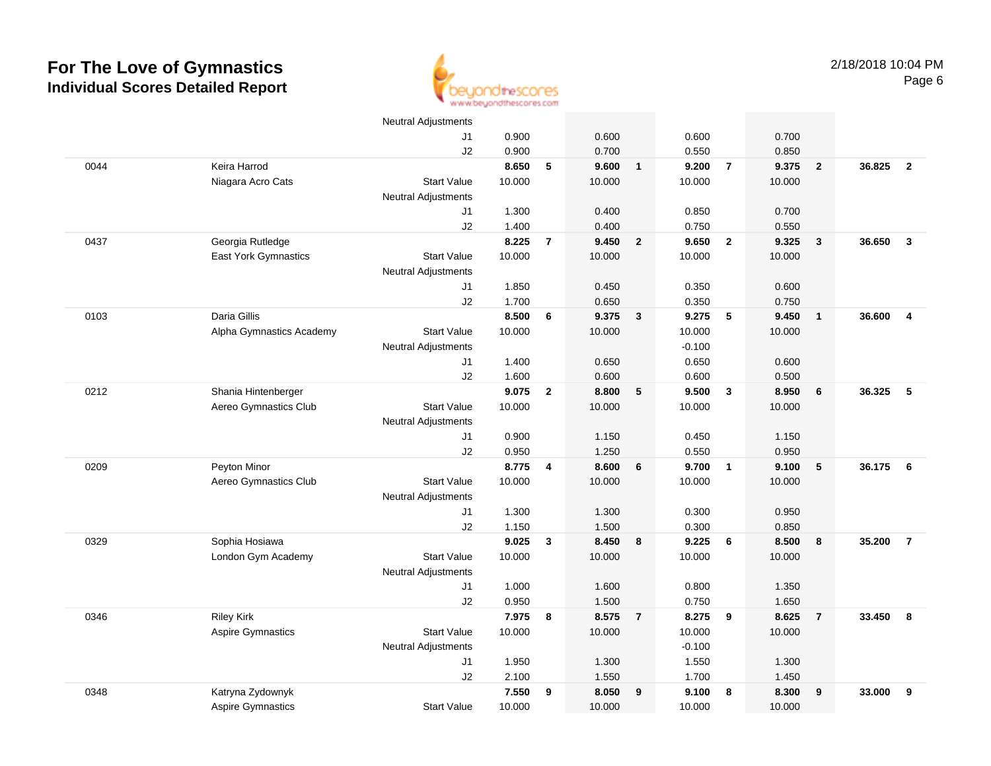

|      |                          | <b>Neutral Adjustments</b> |                |                |                |                         |                |                          |                |                         |        |                |
|------|--------------------------|----------------------------|----------------|----------------|----------------|-------------------------|----------------|--------------------------|----------------|-------------------------|--------|----------------|
|      |                          | J1                         | 0.900          |                | 0.600          |                         | 0.600          |                          | 0.700          |                         |        |                |
|      |                          | J2                         | 0.900          |                | 0.700          |                         | 0.550          |                          | 0.850          |                         |        |                |
| 0044 | Keira Harrod             |                            | 8.650          | 5              | 9.600          | $\overline{\mathbf{1}}$ | 9.200          | $\overline{7}$           | 9.375          | $\overline{2}$          | 36.825 | $\overline{2}$ |
|      | Niagara Acro Cats        | <b>Start Value</b>         | 10.000         |                | 10.000         |                         | 10.000         |                          | 10.000         |                         |        |                |
|      |                          | <b>Neutral Adjustments</b> |                |                |                |                         |                |                          |                |                         |        |                |
|      |                          | J1                         | 1.300          |                | 0.400          |                         | 0.850          |                          | 0.700          |                         |        |                |
|      |                          | J2                         | 1.400          |                | 0.400          |                         | 0.750          |                          | 0.550          |                         |        |                |
| 0437 | Georgia Rutledge         |                            | 8.225          | $\overline{7}$ | 9.450          | $\overline{\mathbf{2}}$ | 9.650          | $\overline{\mathbf{2}}$  | 9.325          | $\overline{\mathbf{3}}$ | 36.650 | $\mathbf{3}$   |
|      | East York Gymnastics     | <b>Start Value</b>         | 10.000         |                | 10.000         |                         | 10.000         |                          | 10.000         |                         |        |                |
|      |                          | <b>Neutral Adjustments</b> |                |                |                |                         |                |                          |                |                         |        |                |
|      |                          | J1                         | 1.850          |                | 0.450          |                         | 0.350          |                          | 0.600          |                         |        |                |
|      |                          | J2                         | 1.700          |                | 0.650          |                         | 0.350          |                          | 0.750          |                         |        |                |
| 0103 | Daria Gillis             |                            | 8.500          | 6              | 9.375          | $\overline{\mathbf{3}}$ | 9.275          | $\overline{\phantom{0}}$ | 9.450          | $\overline{1}$          | 36.600 | $\overline{4}$ |
|      | Alpha Gymnastics Academy | <b>Start Value</b>         | 10.000         |                | 10.000         |                         | 10.000         |                          | 10.000         |                         |        |                |
|      |                          | Neutral Adjustments        |                |                |                |                         | $-0.100$       |                          |                |                         |        |                |
|      |                          | J1                         | 1.400          |                | 0.650          |                         | 0.650          |                          | 0.600          |                         |        |                |
|      |                          | J2                         | 1.600          |                | 0.600          |                         | 0.600          |                          | 0.500          |                         |        |                |
| 0212 | Shania Hintenberger      |                            | 9.075          | $\overline{2}$ | 8.800          | 5                       | 9.500          | $\mathbf{3}$             | 8.950          | 6                       | 36.325 | 5              |
|      | Aereo Gymnastics Club    | <b>Start Value</b>         | 10.000         |                | 10.000         |                         | 10.000         |                          | 10.000         |                         |        |                |
|      |                          | <b>Neutral Adjustments</b> |                |                |                |                         |                |                          |                |                         |        |                |
|      |                          | J1                         | 0.900          |                | 1.150          |                         | 0.450          |                          | 1.150          |                         |        |                |
|      |                          | J2                         | 0.950          |                | 1.250          |                         | 0.550          |                          | 0.950          |                         |        |                |
| 0209 | Peyton Minor             |                            | 8.775          | 4              | 8.600          | 6                       | 9.700          | $\overline{\mathbf{1}}$  | 9.100          | 5                       | 36.175 | - 6            |
|      | Aereo Gymnastics Club    | <b>Start Value</b>         | 10.000         |                | 10.000         |                         | 10.000         |                          | 10.000         |                         |        |                |
|      |                          | Neutral Adjustments        |                |                |                |                         |                |                          |                |                         |        |                |
|      |                          | J1                         | 1.300          |                | 1.300          |                         | 0.300          |                          | 0.950          |                         |        |                |
|      |                          | J2                         | 1.150          |                | 1.500          |                         | 0.300          |                          | 0.850          |                         |        |                |
| 0329 | Sophia Hosiawa           |                            | 9.025          | $\mathbf{3}$   | 8.450          | 8                       | 9.225          | 6                        | 8.500          | 8                       | 35.200 | $\overline{7}$ |
|      | London Gym Academy       | <b>Start Value</b>         | 10.000         |                | 10.000         |                         | 10.000         |                          | 10.000         |                         |        |                |
|      |                          | Neutral Adjustments        |                |                |                |                         |                |                          |                |                         |        |                |
|      |                          | J1                         | 1.000<br>0.950 |                | 1.600<br>1.500 |                         | 0.800<br>0.750 |                          | 1.350          |                         |        |                |
| 0346 | <b>Riley Kirk</b>        | J2                         | 7.975          | 8              | 8.575          | $\overline{7}$          | 8.275          | 9                        | 1.650<br>8.625 | $\overline{7}$          | 33.450 | 8              |
|      | <b>Aspire Gymnastics</b> | <b>Start Value</b>         | 10.000         |                | 10.000         |                         | 10.000         |                          | 10.000         |                         |        |                |
|      |                          | <b>Neutral Adjustments</b> |                |                |                |                         | $-0.100$       |                          |                |                         |        |                |
|      |                          | J1                         | 1.950          |                | 1.300          |                         | 1.550          |                          | 1.300          |                         |        |                |
|      |                          | J2                         | 2.100          |                | 1.550          |                         | 1.700          |                          | 1.450          |                         |        |                |
| 0348 | Katryna Zydownyk         |                            | 7.550          | 9              | 8.050          | 9                       | 9.100          | 8                        | 8.300          | 9                       | 33.000 | 9              |
|      | <b>Aspire Gymnastics</b> | <b>Start Value</b>         | 10.000         |                | 10.000         |                         | 10.000         |                          | 10.000         |                         |        |                |
|      |                          |                            |                |                |                |                         |                |                          |                |                         |        |                |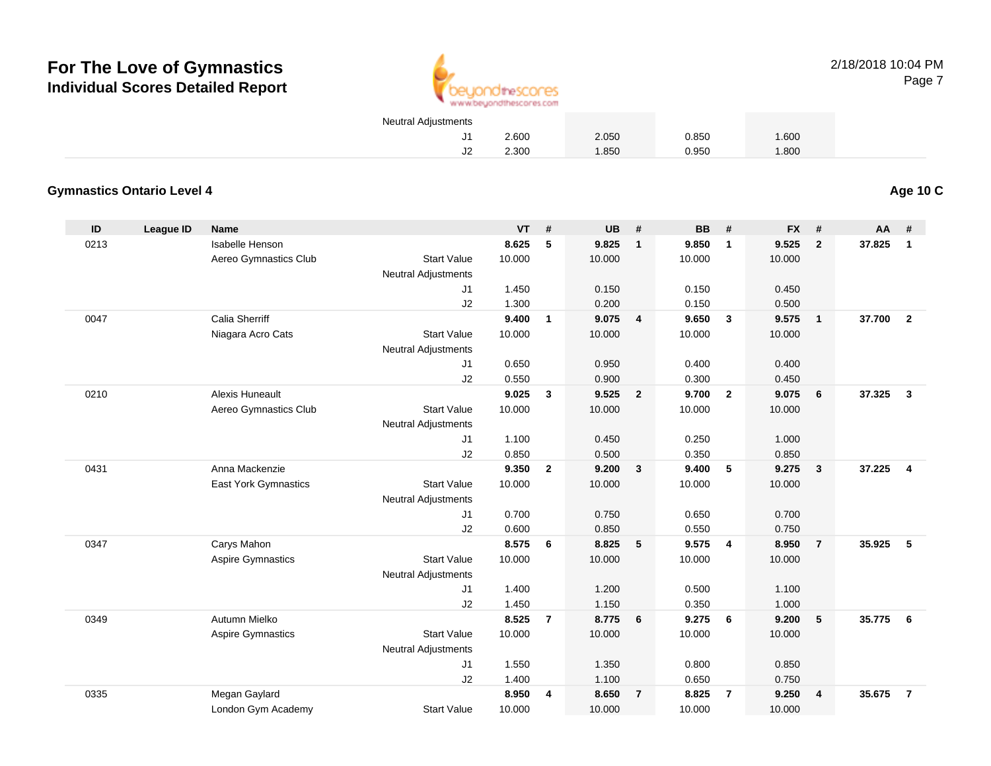

2/18/2018 10:04 PMPage 7

| Neutral Adjustments |       |       |       |       |  |
|---------------------|-------|-------|-------|-------|--|
|                     | 2.600 | 2.050 | 0.850 | 1.600 |  |
|                     | 2.300 | 1.850 | 0.950 | 1.800 |  |

#### **Gymnastics Ontario Level 4**

**Age 10 C**

| ID   | <b>League ID</b> | <b>Name</b>                 |                            | <b>VT</b> | #              | <b>UB</b> | #                       | <b>BB</b> | #              | <b>FX</b> | #              | AA     | #              |
|------|------------------|-----------------------------|----------------------------|-----------|----------------|-----------|-------------------------|-----------|----------------|-----------|----------------|--------|----------------|
| 0213 |                  | Isabelle Henson             |                            | 8.625     | 5              | 9.825     | $\mathbf{1}$            | 9.850     | $\mathbf{1}$   | 9.525     | $\overline{2}$ | 37.825 | 1              |
|      |                  | Aereo Gymnastics Club       | <b>Start Value</b>         | 10.000    |                | 10.000    |                         | 10.000    |                | 10.000    |                |        |                |
|      |                  |                             | Neutral Adjustments        |           |                |           |                         |           |                |           |                |        |                |
|      |                  |                             | J1                         | 1.450     |                | 0.150     |                         | 0.150     |                | 0.450     |                |        |                |
|      |                  |                             | J2                         | 1.300     |                | 0.200     |                         | 0.150     |                | 0.500     |                |        |                |
| 0047 |                  | <b>Calia Sherriff</b>       |                            | 9.400     | $\mathbf{1}$   | 9.075     | $\overline{\mathbf{4}}$ | 9.650     | $\mathbf{3}$   | 9.575     | $\mathbf{1}$   | 37.700 | $\overline{2}$ |
|      |                  | Niagara Acro Cats           | <b>Start Value</b>         | 10.000    |                | 10.000    |                         | 10.000    |                | 10.000    |                |        |                |
|      |                  |                             | <b>Neutral Adjustments</b> |           |                |           |                         |           |                |           |                |        |                |
|      |                  |                             | J1                         | 0.650     |                | 0.950     |                         | 0.400     |                | 0.400     |                |        |                |
|      |                  |                             | J2                         | 0.550     |                | 0.900     |                         | 0.300     |                | 0.450     |                |        |                |
| 0210 |                  | <b>Alexis Huneault</b>      |                            | 9.025     | $\mathbf{3}$   | 9.525     | $\overline{\mathbf{2}}$ | 9.700     | $\overline{2}$ | 9.075     | 6              | 37.325 | $\mathbf{3}$   |
|      |                  | Aereo Gymnastics Club       | <b>Start Value</b>         | 10.000    |                | 10.000    |                         | 10.000    |                | 10.000    |                |        |                |
|      |                  |                             | <b>Neutral Adjustments</b> |           |                |           |                         |           |                |           |                |        |                |
|      |                  |                             | J1                         | 1.100     |                | 0.450     |                         | 0.250     |                | 1.000     |                |        |                |
|      |                  |                             | J2                         | 0.850     |                | 0.500     |                         | 0.350     |                | 0.850     |                |        |                |
| 0431 |                  | Anna Mackenzie              |                            | 9.350     | $\overline{2}$ | 9.200     | $\overline{\mathbf{3}}$ | 9.400     | 5              | 9.275     | $\mathbf{3}$   | 37.225 | $\overline{4}$ |
|      |                  | <b>East York Gymnastics</b> | <b>Start Value</b>         | 10.000    |                | 10.000    |                         | 10.000    |                | 10.000    |                |        |                |
|      |                  |                             | Neutral Adjustments        |           |                |           |                         |           |                |           |                |        |                |
|      |                  |                             | J1                         | 0.700     |                | 0.750     |                         | 0.650     |                | 0.700     |                |        |                |
|      |                  |                             | J2                         | 0.600     |                | 0.850     |                         | 0.550     |                | 0.750     |                |        |                |
| 0347 |                  | Carys Mahon                 |                            | 8.575     | 6              | 8.825     | 5                       | 9.575     | $\overline{4}$ | 8.950     | $\overline{7}$ | 35.925 | 5              |
|      |                  | Aspire Gymnastics           | <b>Start Value</b>         | 10.000    |                | 10.000    |                         | 10.000    |                | 10.000    |                |        |                |
|      |                  |                             | <b>Neutral Adjustments</b> |           |                |           |                         |           |                |           |                |        |                |
|      |                  |                             | J1                         | 1.400     |                | 1.200     |                         | 0.500     |                | 1.100     |                |        |                |
|      |                  |                             | J2                         | 1.450     |                | 1.150     |                         | 0.350     |                | 1.000     |                |        |                |
| 0349 |                  | Autumn Mielko               |                            | 8.525     | $\overline{7}$ | 8.775     | 6                       | 9.275     | 6              | 9.200     | 5              | 35.775 | 6              |
|      |                  | Aspire Gymnastics           | <b>Start Value</b>         | 10.000    |                | 10.000    |                         | 10.000    |                | 10.000    |                |        |                |
|      |                  |                             | <b>Neutral Adjustments</b> |           |                |           |                         |           |                |           |                |        |                |
|      |                  |                             | J1                         | 1.550     |                | 1.350     |                         | 0.800     |                | 0.850     |                |        |                |
|      |                  |                             | J2                         | 1.400     |                | 1.100     |                         | 0.650     |                | 0.750     |                |        |                |
| 0335 |                  | Megan Gaylard               |                            | 8.950     | 4              | 8.650     | $\overline{7}$          | 8.825     | $\overline{7}$ | 9.250     | $\overline{4}$ | 35.675 | $\overline{7}$ |
|      |                  | London Gym Academy          | <b>Start Value</b>         | 10.000    |                | 10.000    |                         | 10.000    |                | 10.000    |                |        |                |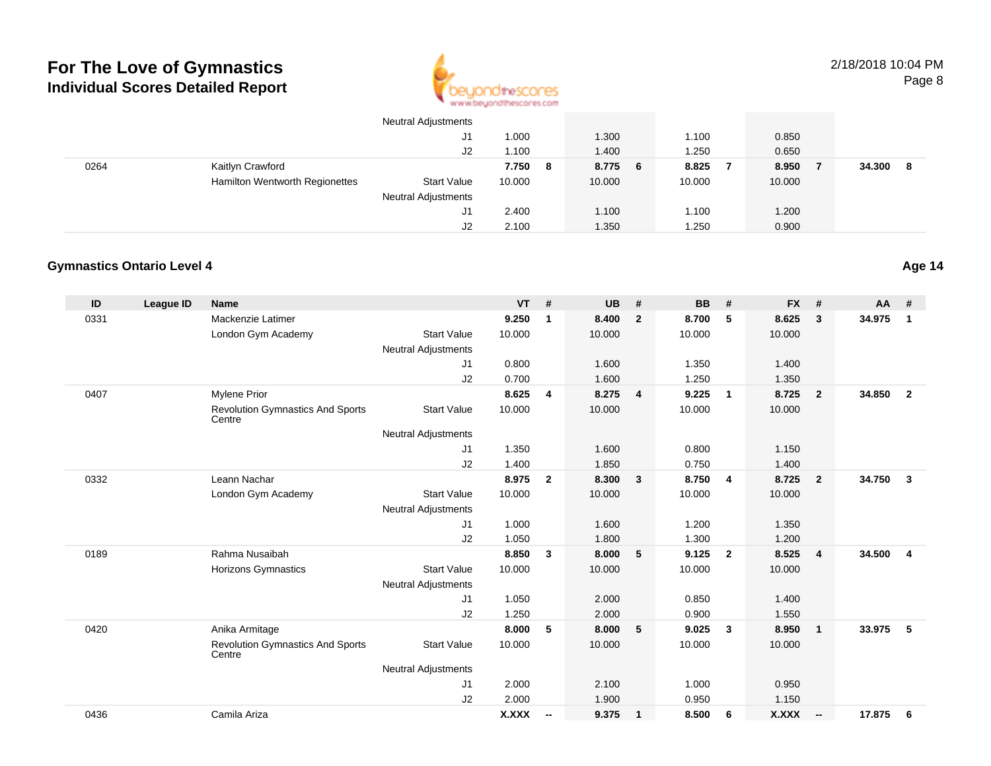

|      |                                | <b>Neutral Adjustments</b> |        |   |        |   |        |        |        |     |
|------|--------------------------------|----------------------------|--------|---|--------|---|--------|--------|--------|-----|
|      |                                | J1                         | .000   |   | 1.300  |   | 1.100  | 0.850  |        |     |
|      |                                | J2                         | .100   |   | 1.400  |   | 1.250  | 0.650  |        |     |
| 0264 | Kaitlyn Crawford               |                            | 7.750  | 8 | 8.775  | 6 | 8.825  | 8.950  | 34.300 | - 8 |
|      | Hamilton Wentworth Regionettes | <b>Start Value</b>         | 10.000 |   | 10.000 |   | 10.000 | 10.000 |        |     |
|      |                                | <b>Neutral Adjustments</b> |        |   |        |   |        |        |        |     |
|      |                                | J1                         | 2.400  |   | 1.100  |   | 1.100  | 1.200  |        |     |
|      |                                | J2                         | 2.100  |   | 1.350  |   | 1.250  | 0.900  |        |     |

#### **Gymnastics Ontario Level 4**

| ID   | League ID | <b>Name</b>                                       |                            | <b>VT</b>    | #                        | <b>UB</b> | #              | <b>BB</b> | #              | <b>FX</b> | #                        | AA     | #              |
|------|-----------|---------------------------------------------------|----------------------------|--------------|--------------------------|-----------|----------------|-----------|----------------|-----------|--------------------------|--------|----------------|
| 0331 |           | Mackenzie Latimer                                 |                            | 9.250        | 1                        | 8.400     | $\overline{2}$ | 8.700     | 5              | 8.625     | 3                        | 34.975 | $\mathbf{1}$   |
|      |           | London Gym Academy                                | <b>Start Value</b>         | 10.000       |                          | 10.000    |                | 10.000    |                | 10.000    |                          |        |                |
|      |           |                                                   | <b>Neutral Adjustments</b> |              |                          |           |                |           |                |           |                          |        |                |
|      |           |                                                   | J1                         | 0.800        |                          | 1.600     |                | 1.350     |                | 1.400     |                          |        |                |
|      |           |                                                   | J2                         | 0.700        |                          | 1.600     |                | 1.250     |                | 1.350     |                          |        |                |
| 0407 |           | <b>Mylene Prior</b>                               |                            | 8.625        | 4                        | 8.275     | $\overline{4}$ | 9.225     | $\overline{1}$ | 8.725     | $\overline{2}$           | 34.850 | $\overline{2}$ |
|      |           | <b>Revolution Gymnastics And Sports</b><br>Centre | <b>Start Value</b>         | 10.000       |                          | 10.000    |                | 10.000    |                | 10.000    |                          |        |                |
|      |           |                                                   | <b>Neutral Adjustments</b> |              |                          |           |                |           |                |           |                          |        |                |
|      |           |                                                   | J1                         | 1.350        |                          | 1.600     |                | 0.800     |                | 1.150     |                          |        |                |
|      |           |                                                   | J2                         | 1.400        |                          | 1.850     |                | 0.750     |                | 1.400     |                          |        |                |
| 0332 |           | Leann Nachar                                      |                            | 8.975        | $\overline{2}$           | 8.300     | $\mathbf{3}$   | 8.750     | $\overline{4}$ | 8.725     | $\overline{2}$           | 34.750 | 3              |
|      |           | London Gym Academy                                | <b>Start Value</b>         | 10.000       |                          | 10.000    |                | 10.000    |                | 10.000    |                          |        |                |
|      |           |                                                   | <b>Neutral Adjustments</b> |              |                          |           |                |           |                |           |                          |        |                |
|      |           |                                                   | J1                         | 1.000        |                          | 1.600     |                | 1.200     |                | 1.350     |                          |        |                |
|      |           |                                                   | J2                         | 1.050        |                          | 1.800     |                | 1.300     |                | 1.200     |                          |        |                |
| 0189 |           | Rahma Nusaibah                                    |                            | 8.850        | 3                        | 8.000     | 5              | 9.125     | $\overline{2}$ | 8.525     | $\overline{4}$           | 34.500 | $\overline{4}$ |
|      |           | <b>Horizons Gymnastics</b>                        | <b>Start Value</b>         | 10.000       |                          | 10.000    |                | 10.000    |                | 10.000    |                          |        |                |
|      |           |                                                   | <b>Neutral Adjustments</b> |              |                          |           |                |           |                |           |                          |        |                |
|      |           |                                                   | J1                         | 1.050        |                          | 2.000     |                | 0.850     |                | 1.400     |                          |        |                |
|      |           |                                                   | J2                         | 1.250        |                          | 2.000     |                | 0.900     |                | 1.550     |                          |        |                |
| 0420 |           | Anika Armitage                                    |                            | 8.000        | 5                        | 8.000     | 5              | 9.025     | $\mathbf{3}$   | 8.950     | $\mathbf{1}$             | 33.975 | 5              |
|      |           | <b>Revolution Gymnastics And Sports</b><br>Centre | <b>Start Value</b>         | 10.000       |                          | 10.000    |                | 10.000    |                | 10.000    |                          |        |                |
|      |           |                                                   | <b>Neutral Adjustments</b> |              |                          |           |                |           |                |           |                          |        |                |
|      |           |                                                   | J1                         | 2.000        |                          | 2.100     |                | 1.000     |                | 0.950     |                          |        |                |
|      |           |                                                   | J2                         | 2.000        |                          | 1.900     |                | 0.950     |                | 1.150     |                          |        |                |
| 0436 |           | Camila Ariza                                      |                            | <b>X.XXX</b> | $\overline{\phantom{a}}$ | 9.375     | $\overline{1}$ | 8.500     | - 6            | X.XXX     | $\overline{\phantom{a}}$ | 17.875 | 6              |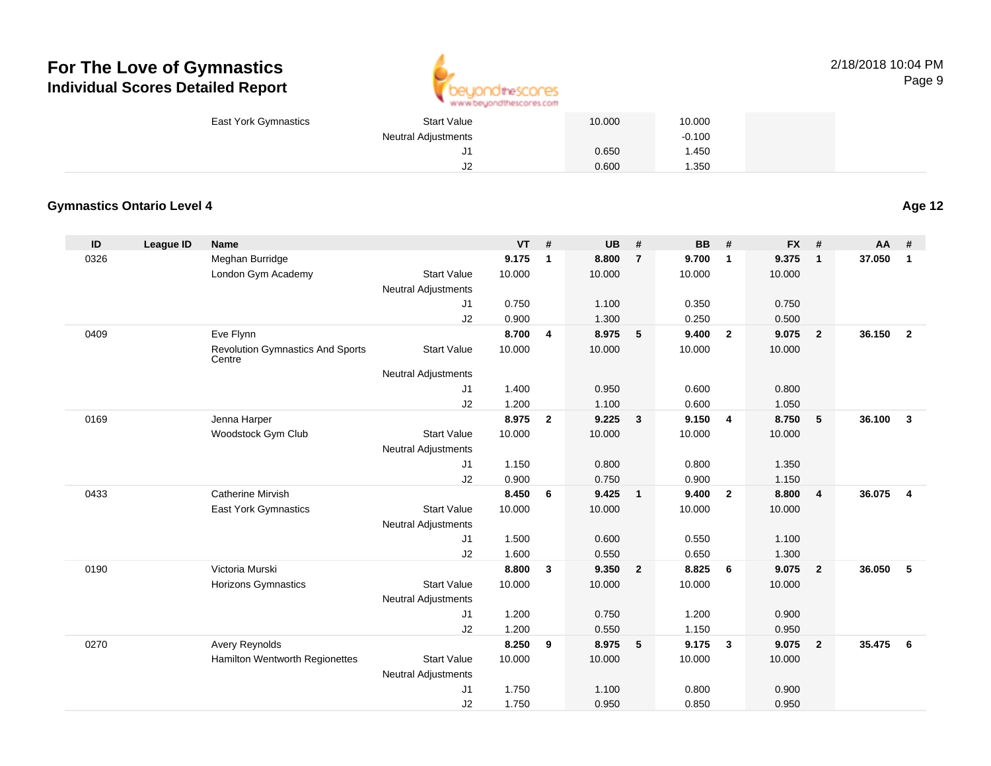

| <b>East York Gymnastics</b> | Start Value                | 10.000 | 10.000   |  |
|-----------------------------|----------------------------|--------|----------|--|
|                             | <b>Neutral Adjustments</b> |        | $-0.100$ |  |
|                             | J1                         | 0.650  | .450     |  |
|                             | J2                         | 0.600  | 1.350    |  |

#### **Gymnastics Ontario Level 4**

| ID   | <b>League ID</b> | <b>Name</b>                                       |                            | <b>VT</b> | #              | <b>UB</b> | #                          | <b>BB</b> | #              | <b>FX</b> | #                       | <b>AA</b> | #              |
|------|------------------|---------------------------------------------------|----------------------------|-----------|----------------|-----------|----------------------------|-----------|----------------|-----------|-------------------------|-----------|----------------|
| 0326 |                  | Meghan Burridge                                   |                            | 9.175     | $\mathbf{1}$   | 8.800     | $\overline{7}$             | 9.700     | $\mathbf{1}$   | 9.375     | $\mathbf{1}$            | 37.050    | $\mathbf{1}$   |
|      |                  | London Gym Academy                                | <b>Start Value</b>         | 10.000    |                | 10.000    |                            | 10.000    |                | 10.000    |                         |           |                |
|      |                  |                                                   | Neutral Adjustments        |           |                |           |                            |           |                |           |                         |           |                |
|      |                  |                                                   | J1                         | 0.750     |                | 1.100     |                            | 0.350     |                | 0.750     |                         |           |                |
|      |                  |                                                   | J2                         | 0.900     |                | 1.300     |                            | 0.250     |                | 0.500     |                         |           |                |
| 0409 |                  | Eve Flynn                                         |                            | 8.700     | $\overline{4}$ | 8.975     | $-5$                       | 9.400     | $\overline{2}$ | 9.075     | $\mathbf{2}$            | 36.150    | $\overline{2}$ |
|      |                  | <b>Revolution Gymnastics And Sports</b><br>Centre | <b>Start Value</b>         | 10.000    |                | 10.000    |                            | 10.000    |                | 10.000    |                         |           |                |
|      |                  |                                                   | Neutral Adjustments        |           |                |           |                            |           |                |           |                         |           |                |
|      |                  |                                                   | J1                         | 1.400     |                | 0.950     |                            | 0.600     |                | 0.800     |                         |           |                |
|      |                  |                                                   | J2                         | 1.200     |                | 1.100     |                            | 0.600     |                | 1.050     |                         |           |                |
| 0169 |                  | Jenna Harper                                      |                            | 8.975     | $\overline{2}$ | 9.225     | $\overline{\mathbf{3}}$    | 9.150     | $\overline{4}$ | 8.750     | 5                       | 36.100    | $\mathbf{3}$   |
|      |                  | Woodstock Gym Club                                | <b>Start Value</b>         | 10.000    |                | 10.000    |                            | 10.000    |                | 10.000    |                         |           |                |
|      |                  |                                                   | Neutral Adjustments        |           |                |           |                            |           |                |           |                         |           |                |
|      |                  |                                                   | J <sub>1</sub>             | 1.150     |                | 0.800     |                            | 0.800     |                | 1.350     |                         |           |                |
|      |                  |                                                   | J2                         | 0.900     |                | 0.750     |                            | 0.900     |                | 1.150     |                         |           |                |
| 0433 |                  | <b>Catherine Mirvish</b>                          |                            | 8.450     | 6              | 9.425     | $\overline{\phantom{0}}$ 1 | 9.400     | $\overline{2}$ | 8.800     | $\overline{\mathbf{4}}$ | 36.075    | $\overline{4}$ |
|      |                  | <b>East York Gymnastics</b>                       | <b>Start Value</b>         | 10.000    |                | 10.000    |                            | 10.000    |                | 10.000    |                         |           |                |
|      |                  |                                                   | Neutral Adjustments        |           |                |           |                            |           |                |           |                         |           |                |
|      |                  |                                                   | J1                         | 1.500     |                | 0.600     |                            | 0.550     |                | 1.100     |                         |           |                |
|      |                  |                                                   | J2                         | 1.600     |                | 0.550     |                            | 0.650     |                | 1.300     |                         |           |                |
| 0190 |                  | Victoria Murski                                   |                            | 8.800     | 3              | 9.350     | $\overline{\mathbf{2}}$    | 8.825     | 6              | 9.075     | $\mathbf{2}$            | 36.050    | 5              |
|      |                  | Horizons Gymnastics                               | <b>Start Value</b>         | 10.000    |                | 10.000    |                            | 10.000    |                | 10.000    |                         |           |                |
|      |                  |                                                   | <b>Neutral Adjustments</b> |           |                |           |                            |           |                |           |                         |           |                |
|      |                  |                                                   | J1                         | 1.200     |                | 0.750     |                            | 1.200     |                | 0.900     |                         |           |                |
|      |                  |                                                   | J2                         | 1.200     |                | 0.550     |                            | 1.150     |                | 0.950     |                         |           |                |
| 0270 |                  | <b>Avery Reynolds</b>                             |                            | 8.250     | 9              | 8.975     | - 5                        | 9.175     | $\mathbf{3}$   | 9.075     | $\mathbf{2}$            | 35.475    | 6              |
|      |                  | Hamilton Wentworth Regionettes                    | <b>Start Value</b>         | 10.000    |                | 10.000    |                            | 10.000    |                | 10.000    |                         |           |                |
|      |                  |                                                   | <b>Neutral Adjustments</b> |           |                |           |                            |           |                |           |                         |           |                |
|      |                  |                                                   | J1                         | 1.750     |                | 1.100     |                            | 0.800     |                | 0.900     |                         |           |                |
|      |                  |                                                   | J2                         | 1.750     |                | 0.950     |                            | 0.850     |                | 0.950     |                         |           |                |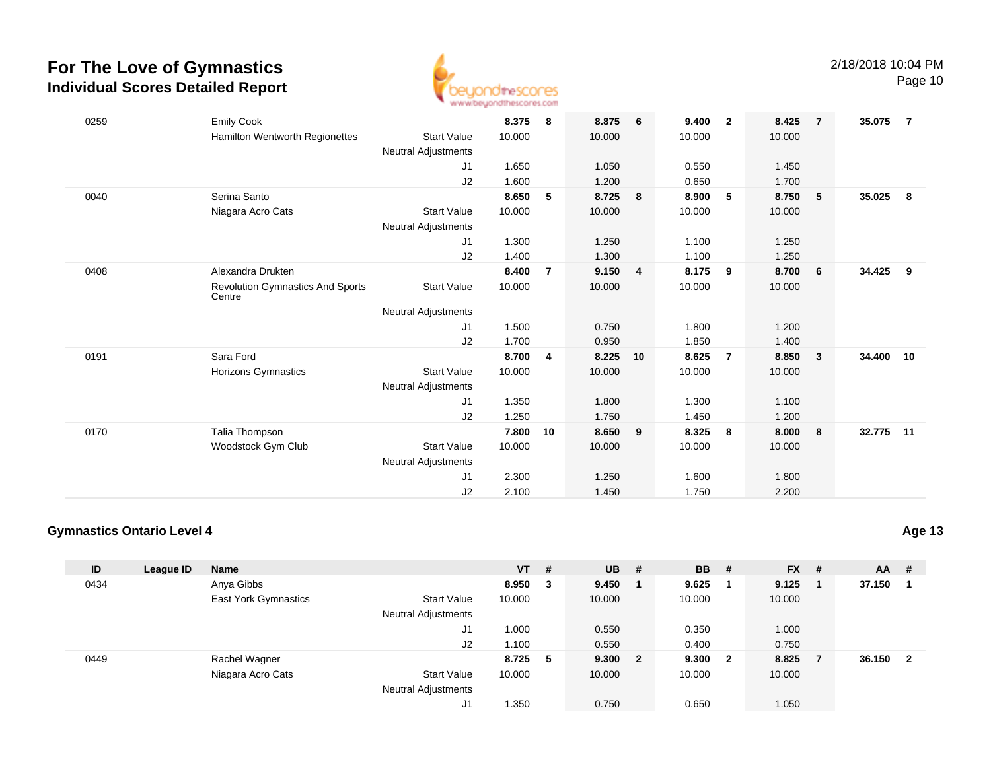

Page 10

| 0259 | <b>Emily Cook</b>                                 |                            | 8.375  | - 8            | 8.875  | 6              | 9.400  | $\overline{\mathbf{2}}$ | 8.425  | $\overline{7}$          | 35.075 | $\overline{7}$ |
|------|---------------------------------------------------|----------------------------|--------|----------------|--------|----------------|--------|-------------------------|--------|-------------------------|--------|----------------|
|      | Hamilton Wentworth Regionettes                    | <b>Start Value</b>         | 10.000 |                | 10.000 |                | 10.000 |                         | 10.000 |                         |        |                |
|      |                                                   | <b>Neutral Adjustments</b> |        |                |        |                |        |                         |        |                         |        |                |
|      |                                                   | J1                         | 1.650  |                | 1.050  |                | 0.550  |                         | 1.450  |                         |        |                |
|      |                                                   | J2                         | 1.600  |                | 1.200  |                | 0.650  |                         | 1.700  |                         |        |                |
| 0040 | Serina Santo                                      |                            | 8.650  | 5              | 8.725  | 8              | 8.900  | 5                       | 8.750  | 5                       | 35.025 | -8             |
|      | Niagara Acro Cats                                 | <b>Start Value</b>         | 10.000 |                | 10.000 |                | 10.000 |                         | 10.000 |                         |        |                |
|      |                                                   | Neutral Adjustments        |        |                |        |                |        |                         |        |                         |        |                |
|      |                                                   | J1                         | 1.300  |                | 1.250  |                | 1.100  |                         | 1.250  |                         |        |                |
|      |                                                   | J2                         | 1.400  |                | 1.300  |                | 1.100  |                         | 1.250  |                         |        |                |
| 0408 | Alexandra Drukten                                 |                            | 8.400  | $\overline{7}$ | 9.150  | $\overline{4}$ | 8.175  | 9                       | 8.700  | 6                       | 34.425 | 9              |
|      | <b>Revolution Gymnastics And Sports</b><br>Centre | <b>Start Value</b>         | 10.000 |                | 10.000 |                | 10.000 |                         | 10.000 |                         |        |                |
|      |                                                   | <b>Neutral Adjustments</b> |        |                |        |                |        |                         |        |                         |        |                |
|      |                                                   | J1                         | 1.500  |                | 0.750  |                | 1.800  |                         | 1.200  |                         |        |                |
|      |                                                   | J2                         | 1.700  |                | 0.950  |                | 1.850  |                         | 1.400  |                         |        |                |
| 0191 | Sara Ford                                         |                            | 8.700  | 4              | 8.225  | 10             | 8.625  | $\overline{7}$          | 8.850  | $\overline{\mathbf{3}}$ | 34.400 | 10             |
|      | Horizons Gymnastics                               | <b>Start Value</b>         | 10.000 |                | 10.000 |                | 10.000 |                         | 10.000 |                         |        |                |
|      |                                                   | Neutral Adjustments        |        |                |        |                |        |                         |        |                         |        |                |
|      |                                                   | J1                         | 1.350  |                | 1.800  |                | 1.300  |                         | 1.100  |                         |        |                |
|      |                                                   | J2                         | 1.250  |                | 1.750  |                | 1.450  |                         | 1.200  |                         |        |                |
| 0170 | Talia Thompson                                    |                            | 7.800  | 10             | 8.650  | 9              | 8.325  | 8                       | 8.000  | 8                       | 32.775 | 11             |
|      | Woodstock Gym Club                                | <b>Start Value</b>         | 10.000 |                | 10.000 |                | 10.000 |                         | 10.000 |                         |        |                |
|      |                                                   | Neutral Adjustments        |        |                |        |                |        |                         |        |                         |        |                |
|      |                                                   | J <sub>1</sub>             | 2.300  |                | 1.250  |                | 1.600  |                         | 1.800  |                         |        |                |
|      |                                                   | J2                         | 2.100  |                | 1.450  |                | 1.750  |                         | 2.200  |                         |        |                |

#### **Gymnastics Ontario Level 4**

| ID   | League ID | <b>Name</b>                 |                            | $VT$ # |    | <b>UB</b> | - #            | <b>BB</b> | -#                      | <b>FX</b> | # | $AA$ # |   |
|------|-----------|-----------------------------|----------------------------|--------|----|-----------|----------------|-----------|-------------------------|-----------|---|--------|---|
| 0434 |           | Anya Gibbs                  |                            | 8.950  | 3  | 9.450     | $\blacksquare$ | 9.625     |                         | 9.125     |   | 37.150 |   |
|      |           | <b>East York Gymnastics</b> | <b>Start Value</b>         | 10.000 |    | 10.000    |                | 10.000    |                         | 10.000    |   |        |   |
|      |           |                             | <b>Neutral Adjustments</b> |        |    |           |                |           |                         |           |   |        |   |
|      |           |                             | J1                         | 1.000  |    | 0.550     |                | 0.350     |                         | 1.000     |   |        |   |
|      |           |                             | J2                         | 1.100  |    | 0.550     |                | 0.400     |                         | 0.750     |   |        |   |
| 0449 |           | Rachel Wagner               |                            | 8.725  | -5 | 9.300 2   |                | 9.300     | $\overline{\mathbf{2}}$ | 8.825     |   | 36.150 | 2 |
|      |           | Niagara Acro Cats           | <b>Start Value</b>         | 10.000 |    | 10.000    |                | 10.000    |                         | 10.000    |   |        |   |
|      |           |                             | <b>Neutral Adjustments</b> |        |    |           |                |           |                         |           |   |        |   |
|      |           |                             | ال                         | 350ء ا |    | 0.750     |                | 0.650     |                         | 1.050     |   |        |   |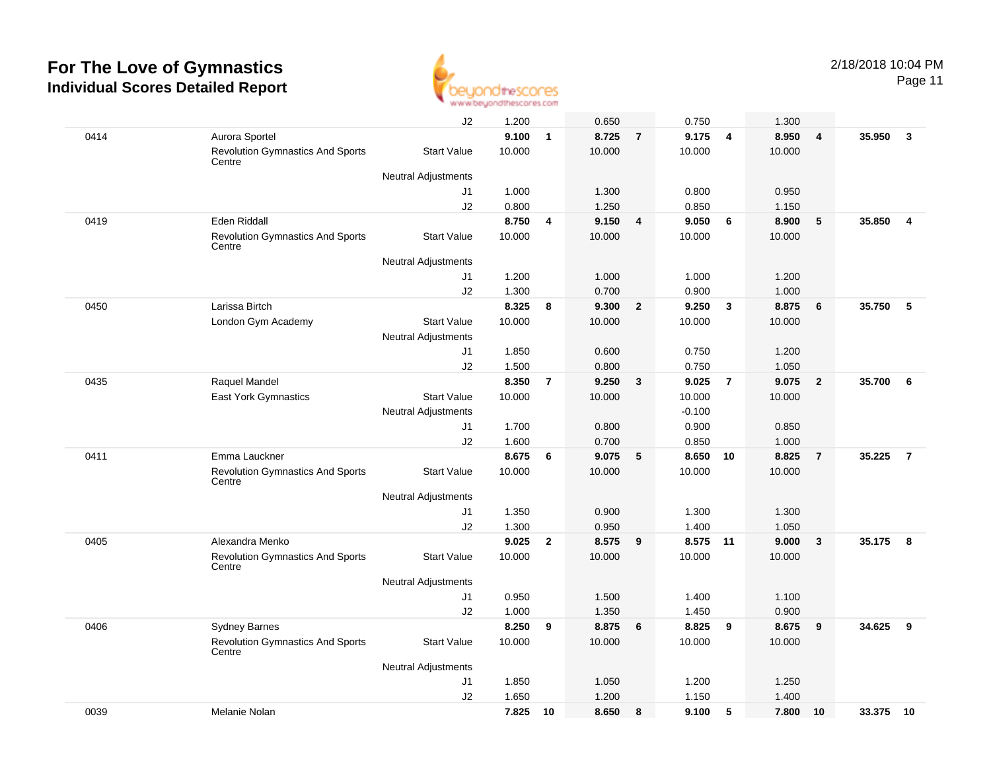

Page 11

|      |                                                   | J2                                        | 1.200  |                | 0.650  |                | 0.750    |                | 1.300  |                |        |                         |
|------|---------------------------------------------------|-------------------------------------------|--------|----------------|--------|----------------|----------|----------------|--------|----------------|--------|-------------------------|
| 0414 | Aurora Sportel                                    |                                           | 9.100  | $\mathbf{1}$   | 8.725  | $\overline{7}$ | 9.175    | 4              | 8.950  | $\overline{4}$ | 35.950 | $\mathbf{3}$            |
|      | <b>Revolution Gymnastics And Sports</b><br>Centre | <b>Start Value</b>                        | 10.000 |                | 10.000 |                | 10.000   |                | 10.000 |                |        |                         |
|      |                                                   | Neutral Adjustments                       |        |                |        |                |          |                |        |                |        |                         |
|      |                                                   | J1                                        | 1.000  |                | 1.300  |                | 0.800    |                | 0.950  |                |        |                         |
|      |                                                   | J2                                        | 0.800  |                | 1.250  |                | 0.850    |                | 1.150  |                |        |                         |
| 0419 | <b>Eden Riddall</b>                               |                                           | 8.750  | 4              | 9.150  | $\overline{4}$ | 9.050    | 6              | 8.900  | 5              | 35.850 | $\overline{\mathbf{4}}$ |
|      | <b>Revolution Gymnastics And Sports</b><br>Centre | <b>Start Value</b>                        | 10.000 |                | 10.000 |                | 10.000   |                | 10.000 |                |        |                         |
|      |                                                   | <b>Neutral Adjustments</b>                |        |                |        |                |          |                |        |                |        |                         |
|      |                                                   | J1                                        | 1.200  |                | 1.000  |                | 1.000    |                | 1.200  |                |        |                         |
|      |                                                   | J2                                        | 1.300  |                | 0.700  |                | 0.900    |                | 1.000  |                |        |                         |
| 0450 | Larissa Birtch                                    |                                           | 8.325  | 8              | 9.300  | $\overline{2}$ | 9.250    | $\mathbf{3}$   | 8.875  | 6              | 35.750 | 5                       |
|      | London Gym Academy                                | <b>Start Value</b><br>Neutral Adjustments | 10.000 |                | 10.000 |                | 10.000   |                | 10.000 |                |        |                         |
|      |                                                   | J1                                        | 1.850  |                | 0.600  |                | 0.750    |                | 1.200  |                |        |                         |
|      |                                                   | J2                                        | 1.500  |                | 0.800  |                | 0.750    |                | 1.050  |                |        |                         |
| 0435 | Raquel Mandel                                     |                                           | 8.350  | $\overline{7}$ | 9.250  | $\mathbf{3}$   | 9.025    | $\overline{7}$ | 9.075  | $\overline{2}$ | 35.700 | 6                       |
|      | East York Gymnastics                              | <b>Start Value</b>                        | 10.000 |                | 10.000 |                | 10.000   |                | 10.000 |                |        |                         |
|      |                                                   | <b>Neutral Adjustments</b>                |        |                |        |                | $-0.100$ |                |        |                |        |                         |
|      |                                                   | J1                                        | 1.700  |                | 0.800  |                | 0.900    |                | 0.850  |                |        |                         |
|      |                                                   | J2                                        | 1.600  |                | 0.700  |                | 0.850    |                | 1.000  |                |        |                         |
| 0411 | Emma Lauckner                                     |                                           | 8.675  | 6              | 9.075  | 5              | 8.650    | 10             | 8.825  | $\overline{7}$ | 35.225 | $\overline{7}$          |
|      | <b>Revolution Gymnastics And Sports</b><br>Centre | <b>Start Value</b>                        | 10.000 |                | 10.000 |                | 10.000   |                | 10.000 |                |        |                         |
|      |                                                   | <b>Neutral Adjustments</b>                |        |                |        |                |          |                |        |                |        |                         |
|      |                                                   | J1                                        | 1.350  |                | 0.900  |                | 1.300    |                | 1.300  |                |        |                         |
|      |                                                   | J2                                        | 1.300  |                | 0.950  |                | 1.400    |                | 1.050  |                |        |                         |
| 0405 | Alexandra Menko                                   |                                           | 9.025  | $\overline{2}$ | 8.575  | 9              | 8.575 11 |                | 9.000  | $\mathbf{3}$   | 35.175 | 8                       |
|      | <b>Revolution Gymnastics And Sports</b><br>Centre | <b>Start Value</b>                        | 10.000 |                | 10.000 |                | 10.000   |                | 10.000 |                |        |                         |
|      |                                                   | Neutral Adjustments                       |        |                |        |                |          |                |        |                |        |                         |
|      |                                                   | J1                                        | 0.950  |                | 1.500  |                | 1.400    |                | 1.100  |                |        |                         |
|      |                                                   | J2                                        | 1.000  |                | 1.350  |                | 1.450    |                | 0.900  |                |        |                         |
| 0406 | <b>Sydney Barnes</b>                              |                                           | 8.250  | 9              | 8.875  | 6              | 8.825    | 9              | 8.675  | 9              | 34.625 | 9                       |
|      | <b>Revolution Gymnastics And Sports</b><br>Centre | <b>Start Value</b>                        | 10.000 |                | 10.000 |                | 10.000   |                | 10.000 |                |        |                         |
|      |                                                   | <b>Neutral Adjustments</b>                |        |                |        |                |          |                |        |                |        |                         |
|      |                                                   | J1                                        | 1.850  |                | 1.050  |                | 1.200    |                | 1.250  |                |        |                         |
|      |                                                   | J2                                        | 1.650  |                | 1.200  |                | 1.150    |                | 1.400  |                |        |                         |
| 0039 | Melanie Nolan                                     |                                           | 7.825  | 10             | 8.650  | 8              | 9.100    | 5              | 7.800  | 10             | 33.375 | 10                      |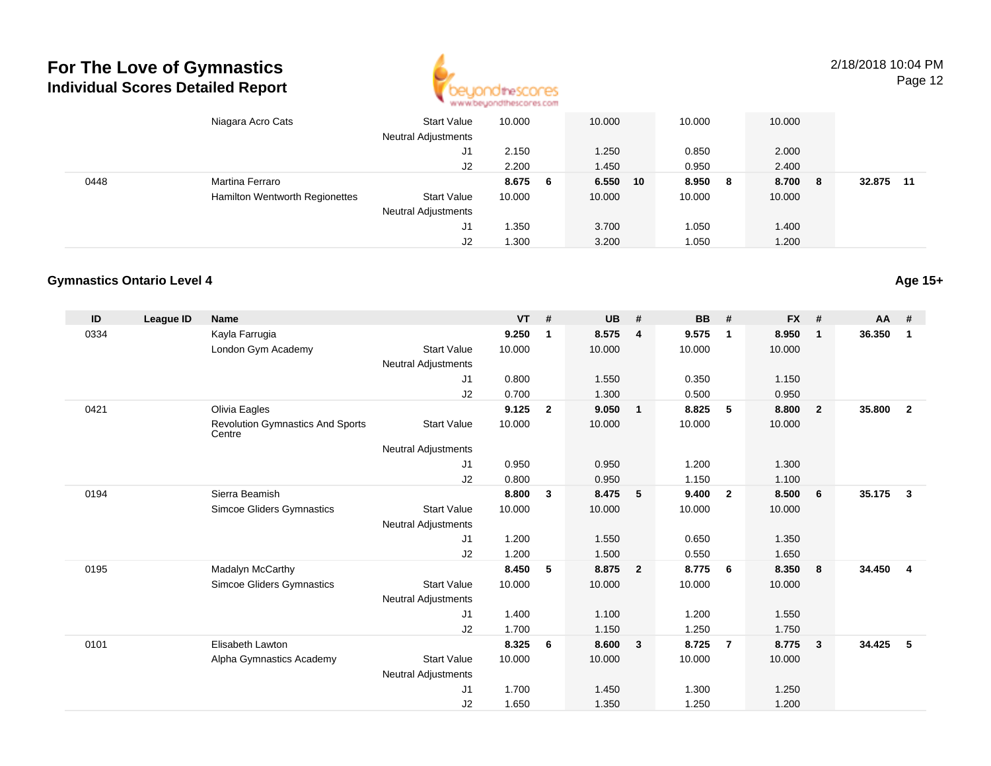

2/18/2018 10:04 PMPage 12

|      | Niagara Acro Cats                     | Start Value<br><b>Neutral Adjustments</b> | 10.000 |   | 10.000 |    | 10.000 |    | 10.000 |     |                |
|------|---------------------------------------|-------------------------------------------|--------|---|--------|----|--------|----|--------|-----|----------------|
|      |                                       | J1                                        | 2.150  |   | 1.250  |    | 0.850  |    | 2.000  |     |                |
|      |                                       | J2                                        | 2.200  |   | 1.450  |    | 0.950  |    | 2.400  |     |                |
| 0448 | Martina Ferraro                       |                                           | 8.675  | 6 | 6.550  | 10 | 8.950  | -8 | 8.700  | - 8 | 32.875<br>- 11 |
|      | <b>Hamilton Wentworth Regionettes</b> | <b>Start Value</b>                        | 10.000 |   | 10.000 |    | 10.000 |    | 10.000 |     |                |
|      |                                       | <b>Neutral Adjustments</b>                |        |   |        |    |        |    |        |     |                |
|      |                                       | J1                                        | 1.350  |   | 3.700  |    | 1.050  |    | 1.400  |     |                |
|      |                                       | J2                                        | 1.300  |   | 3.200  |    | 1.050  |    | 1.200  |     |                |

#### **Gymnastics Ontario Level 4**

| ID   | League ID | <b>Name</b>                                       |                            | <b>VT</b> | #              | <b>UB</b> | #                       | <b>BB</b> | #                       | <b>FX</b> | #              | $AA$ # |                |
|------|-----------|---------------------------------------------------|----------------------------|-----------|----------------|-----------|-------------------------|-----------|-------------------------|-----------|----------------|--------|----------------|
| 0334 |           | Kayla Farrugia                                    |                            | 9.250     | $\mathbf 1$    | 8.575     | $\overline{\mathbf{4}}$ | 9.575     | $\overline{1}$          | 8.950     | $\mathbf{1}$   | 36.350 | 1              |
|      |           | London Gym Academy                                | <b>Start Value</b>         | 10.000    |                | 10.000    |                         | 10.000    |                         | 10.000    |                |        |                |
|      |           |                                                   | <b>Neutral Adjustments</b> |           |                |           |                         |           |                         |           |                |        |                |
|      |           |                                                   | J1                         | 0.800     |                | 1.550     |                         | 0.350     |                         | 1.150     |                |        |                |
|      |           |                                                   | J2                         | 0.700     |                | 1.300     |                         | 0.500     |                         | 0.950     |                |        |                |
| 0421 |           | Olivia Eagles                                     |                            | 9.125     | $\overline{2}$ | 9.050     | $\overline{1}$          | 8.825     | 5                       | 8.800     | $\overline{2}$ | 35.800 | $\overline{2}$ |
|      |           | <b>Revolution Gymnastics And Sports</b><br>Centre | <b>Start Value</b>         | 10.000    |                | 10.000    |                         | 10.000    |                         | 10.000    |                |        |                |
|      |           |                                                   | <b>Neutral Adjustments</b> |           |                |           |                         |           |                         |           |                |        |                |
|      |           |                                                   | J1                         | 0.950     |                | 0.950     |                         | 1.200     |                         | 1.300     |                |        |                |
|      |           |                                                   | J2                         | 0.800     |                | 0.950     |                         | 1.150     |                         | 1.100     |                |        |                |
| 0194 |           | Sierra Beamish                                    |                            | 8.800     | 3              | 8.475     | $-5$                    | 9.400     | $\overline{\mathbf{2}}$ | 8.500     | 6              | 35.175 | 3              |
|      |           | <b>Simcoe Gliders Gymnastics</b>                  | <b>Start Value</b>         | 10.000    |                | 10.000    |                         | 10.000    |                         | 10.000    |                |        |                |
|      |           |                                                   | <b>Neutral Adjustments</b> |           |                |           |                         |           |                         |           |                |        |                |
|      |           |                                                   | J1                         | 1.200     |                | 1.550     |                         | 0.650     |                         | 1.350     |                |        |                |
|      |           |                                                   | J2                         | 1.200     |                | 1.500     |                         | 0.550     |                         | 1.650     |                |        |                |
| 0195 |           | Madalyn McCarthy                                  |                            | 8.450     | 5              | 8.875     | $\overline{2}$          | 8.775     | - 6                     | 8.350     | 8              | 34.450 | $\overline{4}$ |
|      |           | Simcoe Gliders Gymnastics                         | <b>Start Value</b>         | 10.000    |                | 10.000    |                         | 10.000    |                         | 10.000    |                |        |                |
|      |           |                                                   | <b>Neutral Adjustments</b> |           |                |           |                         |           |                         |           |                |        |                |
|      |           |                                                   | J1                         | 1.400     |                | 1.100     |                         | 1.200     |                         | 1.550     |                |        |                |
|      |           |                                                   | J2                         | 1.700     |                | 1.150     |                         | 1.250     |                         | 1.750     |                |        |                |
| 0101 |           | Elisabeth Lawton                                  |                            | 8.325     | 6              | 8.600     | $\overline{\mathbf{3}}$ | 8.725     | $\overline{7}$          | 8.775     | 3              | 34.425 | 5              |
|      |           | Alpha Gymnastics Academy                          | <b>Start Value</b>         | 10.000    |                | 10.000    |                         | 10.000    |                         | 10.000    |                |        |                |
|      |           |                                                   | <b>Neutral Adjustments</b> |           |                |           |                         |           |                         |           |                |        |                |
|      |           |                                                   | J1                         | 1.700     |                | 1.450     |                         | 1.300     |                         | 1.250     |                |        |                |
|      |           |                                                   | J2                         | 1.650     |                | 1.350     |                         | 1.250     |                         | 1.200     |                |        |                |

**Age 15+**